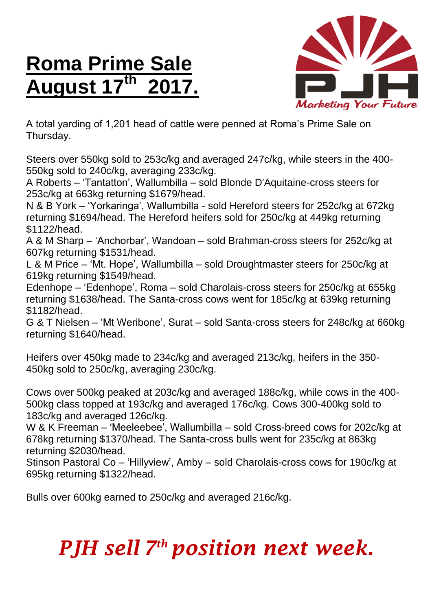## **Roma Prime Sale August 17 th 2017.**



A total yarding of 1,201 head of cattle were penned at Roma's Prime Sale on Thursday.

Steers over 550kg sold to 253c/kg and averaged 247c/kg, while steers in the 400- 550kg sold to 240c/kg, averaging 233c/kg.

A Roberts – 'Tantatton', Wallumbilla – sold Blonde D'Aquitaine-cross steers for 253c/kg at 663kg returning \$1679/head.

N & B York – 'Yorkaringa', Wallumbilla - sold Hereford steers for 252c/kg at 672kg returning \$1694/head. The Hereford heifers sold for 250c/kg at 449kg returning \$1122/head.

A & M Sharp – 'Anchorbar', Wandoan – sold Brahman-cross steers for 252c/kg at 607kg returning \$1531/head.

L & M Price – 'Mt. Hope', Wallumbilla – sold Droughtmaster steers for 250c/kg at 619kg returning \$1549/head.

Edenhope – 'Edenhope', Roma – sold Charolais-cross steers for 250c/kg at 655kg returning \$1638/head. The Santa-cross cows went for 185c/kg at 639kg returning \$1182/head.

G & T Nielsen – 'Mt Weribone', Surat – sold Santa-cross steers for 248c/kg at 660kg returning \$1640/head.

Heifers over 450kg made to 234c/kg and averaged 213c/kg, heifers in the 350- 450kg sold to 250c/kg, averaging 230c/kg.

Cows over 500kg peaked at 203c/kg and averaged 188c/kg, while cows in the 400- 500kg class topped at 193c/kg and averaged 176c/kg. Cows 300-400kg sold to 183c/kg and averaged 126c/kg.

W & K Freeman – 'Meeleebee', Wallumbilla – sold Cross-breed cows for 202c/kg at 678kg returning \$1370/head. The Santa-cross bulls went for 235c/kg at 863kg returning \$2030/head.

Stinson Pastoral Co – 'Hillyview', Amby – sold Charolais-cross cows for 190c/kg at 695kg returning \$1322/head.

Bulls over 600kg earned to 250c/kg and averaged 216c/kg.

## *PJH sell 7 th position next week.*